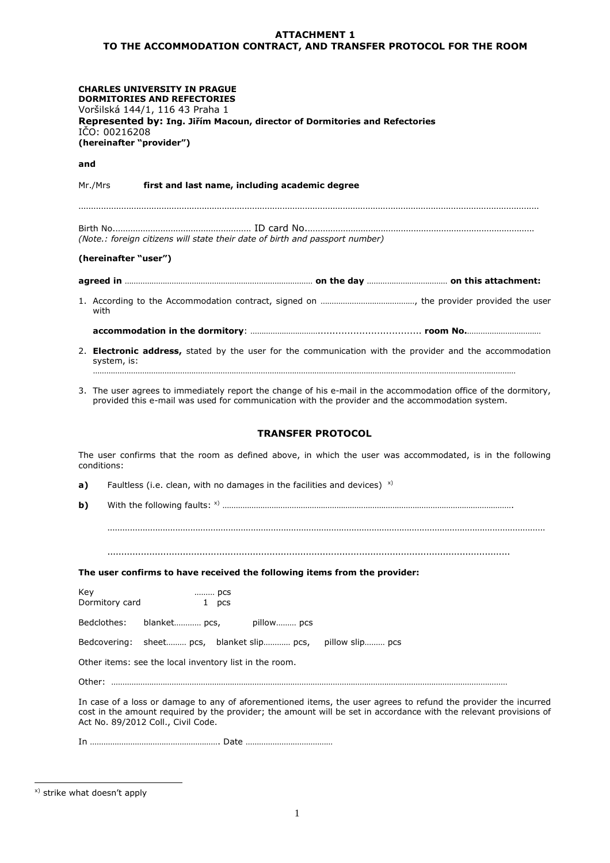## **ATTACHMENT 1 TO THE ACCOMMODATION CONTRACT, AND TRANSFER PROTOCOL FOR THE ROOM**

| <b>CHARLES UNIVERSITY IN PRAGUE</b><br><b>DORMITORIES AND REFECTORIES</b><br>Voršilská 144/1, 116 43 Praha 1<br>Represented by: Ing. Jiřím Macoun, director of Dormitories and Refectories<br>IČO: 00216208<br>(hereinafter "provider") |
|-----------------------------------------------------------------------------------------------------------------------------------------------------------------------------------------------------------------------------------------|
| and                                                                                                                                                                                                                                     |
| Mr./Mrs<br>first and last name, including academic degree                                                                                                                                                                               |
| (Note.: foreign citizens will state their date of birth and passport number)                                                                                                                                                            |
| (hereinafter "user")                                                                                                                                                                                                                    |
|                                                                                                                                                                                                                                         |
| with                                                                                                                                                                                                                                    |
|                                                                                                                                                                                                                                         |
| 2. <b>Electronic address,</b> stated by the user for the communication with the provider and the accommodation<br>system, is:                                                                                                           |
| 3. The user agrees to immediately report the change of his e-mail in the accommodation office of the dormitory,<br>provided this e-mail was used for communication with the provider and the accommodation system.                      |
| <b>TRANSFER PROTOCOL</b>                                                                                                                                                                                                                |
| The user confirms that the room as defined above, in which the user was accommodated, is in the following<br>conditions:                                                                                                                |
| Faultless (i.e. clean, with no damages in the facilities and devices) $^{x}$<br>a)                                                                                                                                                      |
| b)                                                                                                                                                                                                                                      |
|                                                                                                                                                                                                                                         |
|                                                                                                                                                                                                                                         |
| The user confirms to have received the following items from the provider:                                                                                                                                                               |
| Key<br>pcs                                                                                                                                                                                                                              |
| Dormitory card<br>1 pcs                                                                                                                                                                                                                 |
| Bedclothes:<br>blanket pcs,<br>pillow pcs                                                                                                                                                                                               |
| Bedcovering:<br>sheet pcs, blanket slip pcs,<br>pillow slip pcs                                                                                                                                                                         |
| Other items: see the local inventory list in the room.                                                                                                                                                                                  |
|                                                                                                                                                                                                                                         |
| In case of a loss or damage to any of aforementioned items the user agrees to refund the provider the incurred                                                                                                                          |

In case of a loss or damage to any of aforementioned items, the user agrees to refund the provider the incurred cost in the amount required by the provider; the amount will be set in accordance with the relevant provisions of Act No. 89/2012 Coll., Civil Code.

In …………………………………………………. Date …………………………………

x) strike what doesn't apply